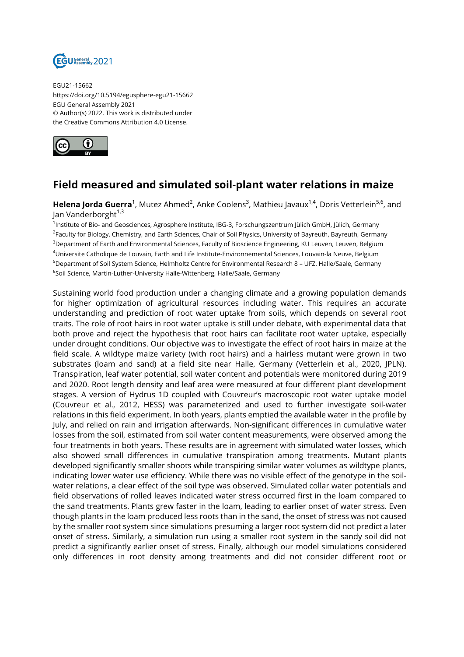

EGU21-15662 https://doi.org/10.5194/egusphere-egu21-15662 EGU General Assembly 2021 © Author(s) 2022. This work is distributed under the Creative Commons Attribution 4.0 License.



## **Field measured and simulated soil-plant water relations in maize**

**Helena Jorda Guerra**<sup>1</sup>, Mutez Ahmed<sup>2</sup>, Anke Coolens<sup>3</sup>, Mathieu Javaux<sup>1,4</sup>, Doris Vetterlein<sup>5,6</sup>, and Jan Vanderborght<sup>1,3</sup>

1 Institute of Bio- and Geosciences, Agrosphere Institute, IBG-3, Forschungszentrum Jülich GmbH, Jülich, Germany <sup>2</sup>Faculty for Biology, Chemistry, and Earth Sciences, Chair of Soil Physics, University of Bayreuth, Bayreuth, Germany <sup>3</sup>Department of Earth and Environmental Sciences, Faculty of Bioscience Engineering, KU Leuven, Leuven, Belgium <sup>4</sup>Universite Catholique de Louvain, Earth and Life Institute-Environnemental Sciences, Louvain-la Neuve, Belgium <sup>5</sup>Department of Soil System Science, Helmholtz Centre for Environmental Research 8 – UFZ, Halle/Saale, Germany <sup>6</sup>Soil Science, Martin-Luther-University Halle-Wittenberg, Halle/Saale, Germany

Sustaining world food production under a changing climate and a growing population demands for higher optimization of agricultural resources including water. This requires an accurate understanding and prediction of root water uptake from soils, which depends on several root traits. The role of root hairs in root water uptake is still under debate, with experimental data that both prove and reject the hypothesis that root hairs can facilitate root water uptake, especially under drought conditions. Our objective was to investigate the effect of root hairs in maize at the field scale. A wildtype maize variety (with root hairs) and a hairless mutant were grown in two substrates (loam and sand) at a field site near Halle, Germany (Vetterlein et al., 2020, JPLN). Transpiration, leaf water potential, soil water content and potentials were monitored during 2019 and 2020. Root length density and leaf area were measured at four different plant development stages. A version of Hydrus 1D coupled with Couvreur's macroscopic root water uptake model (Couvreur et al., 2012, HESS) was parameterized and used to further investigate soil-water relations in this field experiment. In both years, plants emptied the available water in the profile by July, and relied on rain and irrigation afterwards. Non-significant differences in cumulative water losses from the soil, estimated from soil water content measurements, were observed among the four treatments in both years. These results are in agreement with simulated water losses, which also showed small differences in cumulative transpiration among treatments. Mutant plants developed significantly smaller shoots while transpiring similar water volumes as wildtype plants, indicating lower water use efficiency. While there was no visible effect of the genotype in the soilwater relations, a clear effect of the soil type was observed. Simulated collar water potentials and field observations of rolled leaves indicated water stress occurred first in the loam compared to the sand treatments. Plants grew faster in the loam, leading to earlier onset of water stress. Even though plants in the loam produced less roots than in the sand, the onset of stress was not caused by the smaller root system since simulations presuming a larger root system did not predict a later onset of stress. Similarly, a simulation run using a smaller root system in the sandy soil did not predict a significantly earlier onset of stress. Finally, although our model simulations considered only differences in root density among treatments and did not consider different root or